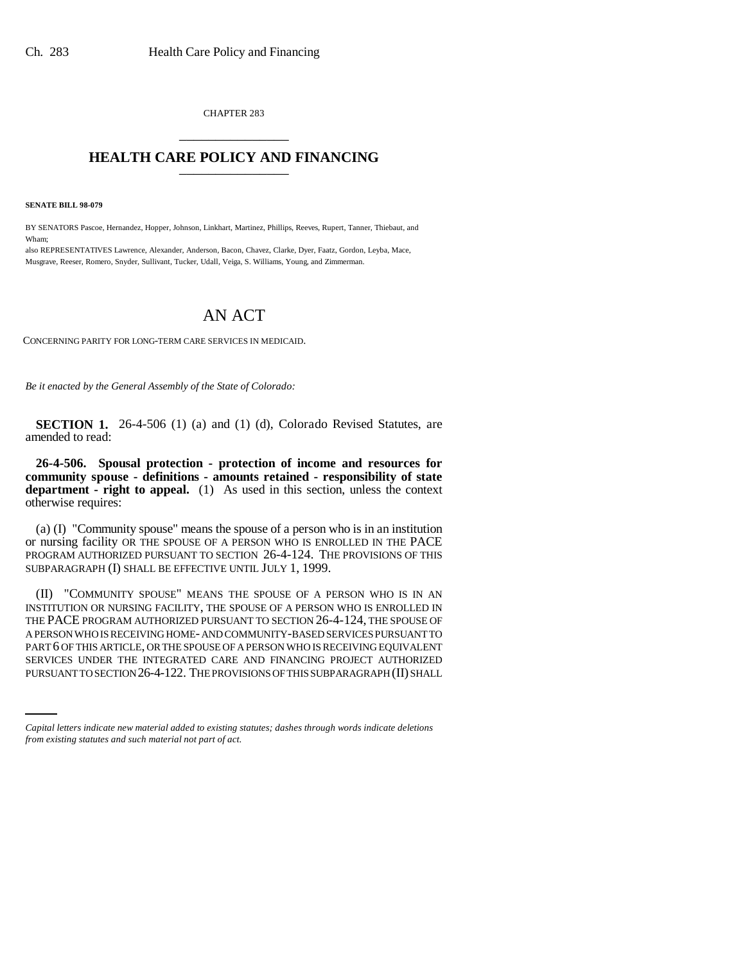CHAPTER 283 \_\_\_\_\_\_\_\_\_\_\_\_\_\_\_

## **HEALTH CARE POLICY AND FINANCING** \_\_\_\_\_\_\_\_\_\_\_\_\_\_\_

**SENATE BILL 98-079**

BY SENATORS Pascoe, Hernandez, Hopper, Johnson, Linkhart, Martinez, Phillips, Reeves, Rupert, Tanner, Thiebaut, and Wham;

also REPRESENTATIVES Lawrence, Alexander, Anderson, Bacon, Chavez, Clarke, Dyer, Faatz, Gordon, Leyba, Mace, Musgrave, Reeser, Romero, Snyder, Sullivant, Tucker, Udall, Veiga, S. Williams, Young, and Zimmerman.

## AN ACT

CONCERNING PARITY FOR LONG-TERM CARE SERVICES IN MEDICAID.

*Be it enacted by the General Assembly of the State of Colorado:*

**SECTION 1.** 26-4-506 (1) (a) and (1) (d), Colorado Revised Statutes, are amended to read:

**26-4-506. Spousal protection - protection of income and resources for community spouse - definitions - amounts retained - responsibility of state department - right to appeal.** (1) As used in this section, unless the context otherwise requires:

(a) (I) "Community spouse" means the spouse of a person who is in an institution or nursing facility OR THE SPOUSE OF A PERSON WHO IS ENROLLED IN THE PACE PROGRAM AUTHORIZED PURSUANT TO SECTION 26-4-124. THE PROVISIONS OF THIS SUBPARAGRAPH (I) SHALL BE EFFECTIVE UNTIL JULY 1, 1999.

PART 6 OF THIS ARTICLE, OR THE SPOUSE OF A PERSON WHO IS RECEIVING EQUIVALENT (II) "COMMUNITY SPOUSE" MEANS THE SPOUSE OF A PERSON WHO IS IN AN INSTITUTION OR NURSING FACILITY, THE SPOUSE OF A PERSON WHO IS ENROLLED IN THE PACE PROGRAM AUTHORIZED PURSUANT TO SECTION 26-4-124, THE SPOUSE OF A PERSON WHO IS RECEIVING HOME- AND COMMUNITY-BASED SERVICES PURSUANT TO SERVICES UNDER THE INTEGRATED CARE AND FINANCING PROJECT AUTHORIZED PURSUANT TO SECTION 26-4-122. THE PROVISIONS OF THIS SUBPARAGRAPH (II) SHALL

*Capital letters indicate new material added to existing statutes; dashes through words indicate deletions from existing statutes and such material not part of act.*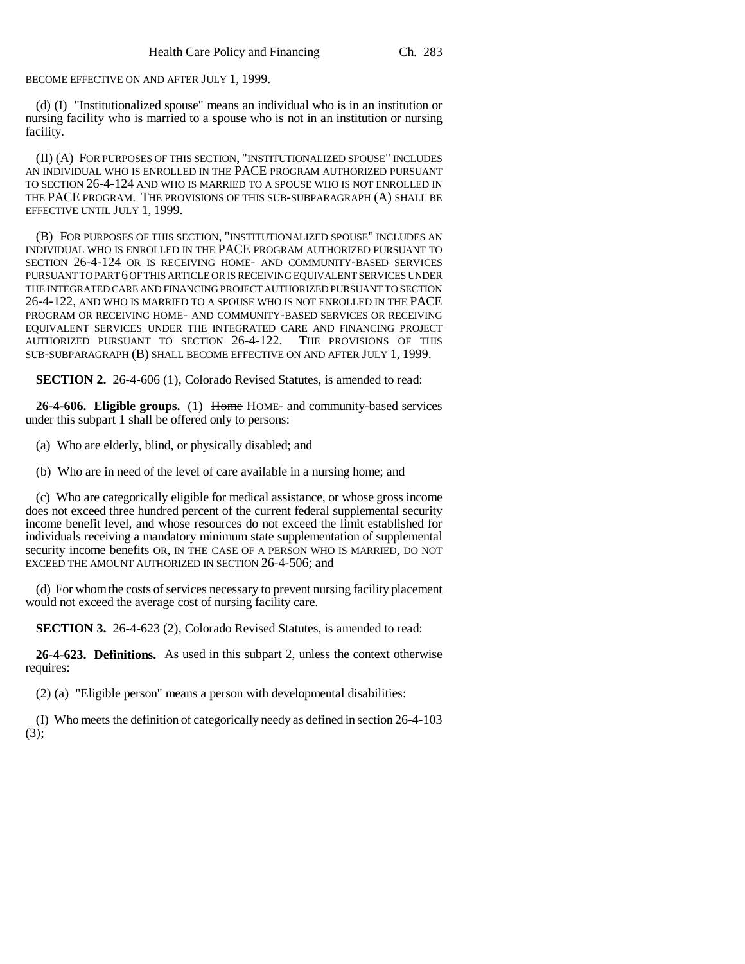BECOME EFFECTIVE ON AND AFTER JULY 1, 1999.

(d) (I) "Institutionalized spouse" means an individual who is in an institution or nursing facility who is married to a spouse who is not in an institution or nursing facility.

(II) (A) FOR PURPOSES OF THIS SECTION, "INSTITUTIONALIZED SPOUSE" INCLUDES AN INDIVIDUAL WHO IS ENROLLED IN THE PACE PROGRAM AUTHORIZED PURSUANT TO SECTION 26-4-124 AND WHO IS MARRIED TO A SPOUSE WHO IS NOT ENROLLED IN THE PACE PROGRAM. THE PROVISIONS OF THIS SUB-SUBPARAGRAPH (A) SHALL BE EFFECTIVE UNTIL JULY 1, 1999.

(B) FOR PURPOSES OF THIS SECTION, "INSTITUTIONALIZED SPOUSE" INCLUDES AN INDIVIDUAL WHO IS ENROLLED IN THE PACE PROGRAM AUTHORIZED PURSUANT TO SECTION 26-4-124 OR IS RECEIVING HOME- AND COMMUNITY-BASED SERVICES PURSUANT TO PART 6 OF THIS ARTICLE OR IS RECEIVING EQUIVALENT SERVICES UNDER THE INTEGRATED CARE AND FINANCING PROJECT AUTHORIZED PURSUANT TO SECTION 26-4-122, AND WHO IS MARRIED TO A SPOUSE WHO IS NOT ENROLLED IN THE PACE PROGRAM OR RECEIVING HOME- AND COMMUNITY-BASED SERVICES OR RECEIVING EQUIVALENT SERVICES UNDER THE INTEGRATED CARE AND FINANCING PROJECT AUTHORIZED PURSUANT TO SECTION 26-4-122. THE PROVISIONS OF THIS SUB-SUBPARAGRAPH (B) SHALL BECOME EFFECTIVE ON AND AFTER JULY 1, 1999.

**SECTION 2.** 26-4-606 (1), Colorado Revised Statutes, is amended to read:

**26-4-606. Eligible groups.** (1) Home HOME- and community-based services under this subpart 1 shall be offered only to persons:

(a) Who are elderly, blind, or physically disabled; and

(b) Who are in need of the level of care available in a nursing home; and

(c) Who are categorically eligible for medical assistance, or whose gross income does not exceed three hundred percent of the current federal supplemental security income benefit level, and whose resources do not exceed the limit established for individuals receiving a mandatory minimum state supplementation of supplemental security income benefits OR, IN THE CASE OF A PERSON WHO IS MARRIED, DO NOT EXCEED THE AMOUNT AUTHORIZED IN SECTION 26-4-506; and

(d) For whom the costs of services necessary to prevent nursing facility placement would not exceed the average cost of nursing facility care.

**SECTION 3.** 26-4-623 (2), Colorado Revised Statutes, is amended to read:

**26-4-623. Definitions.** As used in this subpart 2, unless the context otherwise requires:

(2) (a) "Eligible person" means a person with developmental disabilities:

(I) Who meets the definition of categorically needy as defined in section 26-4-103  $(3);$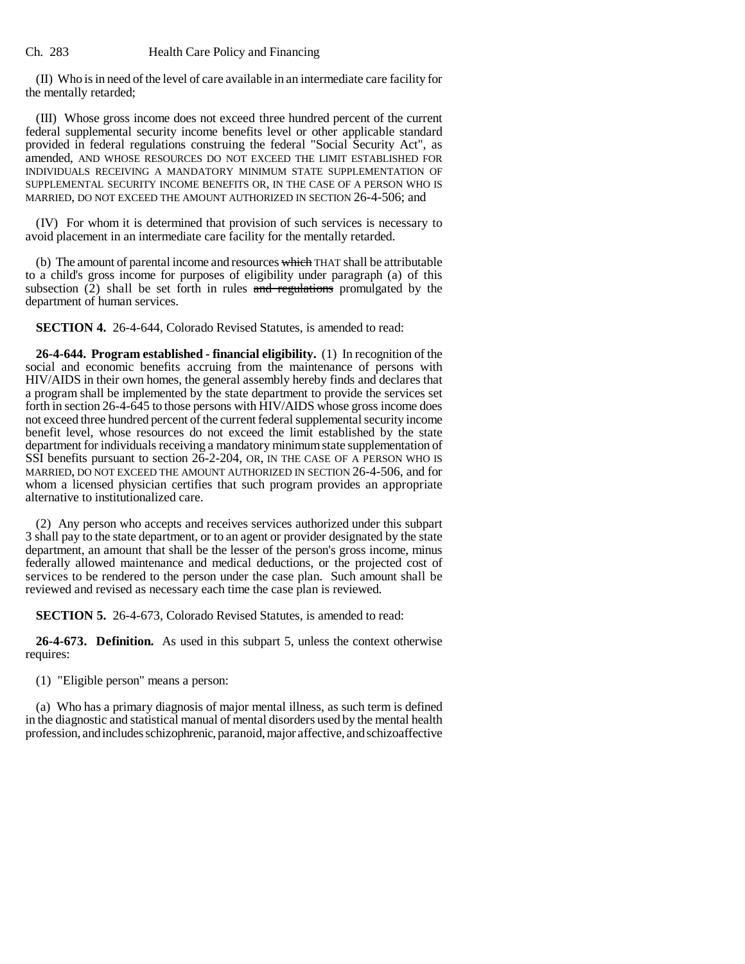(II) Who is in need of the level of care available in an intermediate care facility for the mentally retarded;

(III) Whose gross income does not exceed three hundred percent of the current federal supplemental security income benefits level or other applicable standard provided in federal regulations construing the federal "Social Security Act", as amended, AND WHOSE RESOURCES DO NOT EXCEED THE LIMIT ESTABLISHED FOR INDIVIDUALS RECEIVING A MANDATORY MINIMUM STATE SUPPLEMENTATION OF SUPPLEMENTAL SECURITY INCOME BENEFITS OR, IN THE CASE OF A PERSON WHO IS MARRIED, DO NOT EXCEED THE AMOUNT AUTHORIZED IN SECTION 26-4-506; and

(IV) For whom it is determined that provision of such services is necessary to avoid placement in an intermediate care facility for the mentally retarded.

(b) The amount of parental income and resources which THAT shall be attributable to a child's gross income for purposes of eligibility under paragraph (a) of this subsection  $(2)$  shall be set forth in rules and regulations promulgated by the department of human services.

**SECTION 4.** 26-4-644, Colorado Revised Statutes, is amended to read:

**26-4-644. Program established - financial eligibility.** (1) In recognition of the social and economic benefits accruing from the maintenance of persons with HIV/AIDS in their own homes, the general assembly hereby finds and declares that a program shall be implemented by the state department to provide the services set forth in section 26-4-645 to those persons with HIV/AIDS whose gross income does not exceed three hundred percent of the current federal supplemental security income benefit level, whose resources do not exceed the limit established by the state department for individuals receiving a mandatory minimum state supplementation of SSI benefits pursuant to section 26-2-204, OR, IN THE CASE OF A PERSON WHO IS MARRIED, DO NOT EXCEED THE AMOUNT AUTHORIZED IN SECTION 26-4-506, and for whom a licensed physician certifies that such program provides an appropriate alternative to institutionalized care.

(2) Any person who accepts and receives services authorized under this subpart 3 shall pay to the state department, or to an agent or provider designated by the state department, an amount that shall be the lesser of the person's gross income, minus federally allowed maintenance and medical deductions, or the projected cost of services to be rendered to the person under the case plan. Such amount shall be reviewed and revised as necessary each time the case plan is reviewed.

**SECTION 5.** 26-4-673, Colorado Revised Statutes, is amended to read:

**26-4-673. Definition.** As used in this subpart 5, unless the context otherwise requires:

(1) "Eligible person" means a person:

(a) Who has a primary diagnosis of major mental illness, as such term is defined in the diagnostic and statistical manual of mental disorders used by the mental health profession, and includes schizophrenic, paranoid, major affective, and schizoaffective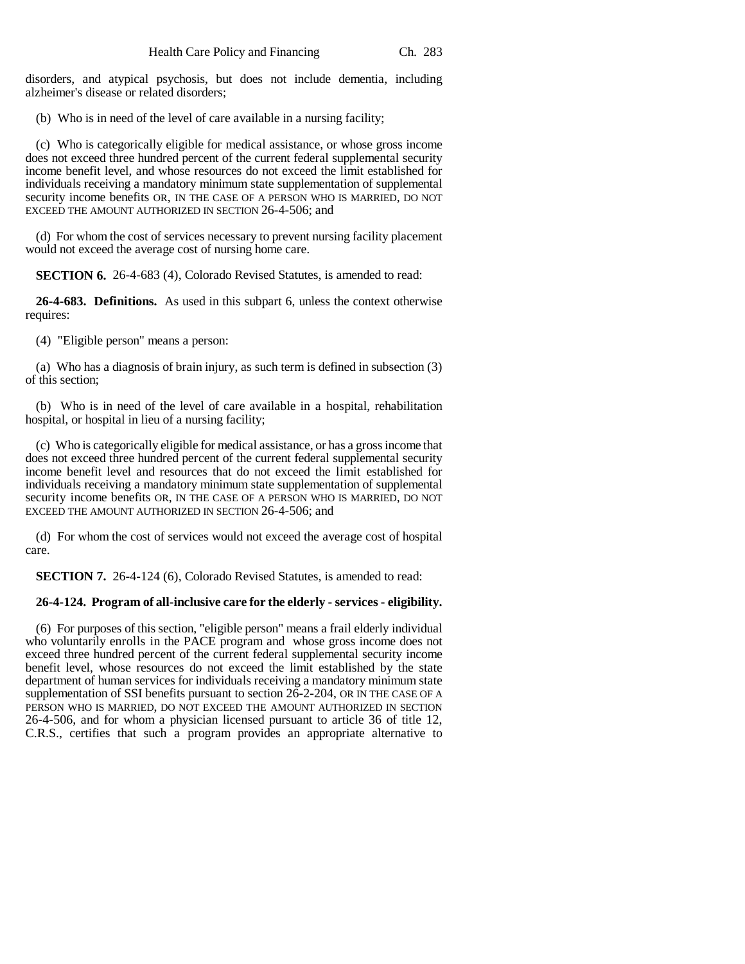disorders, and atypical psychosis, but does not include dementia, including alzheimer's disease or related disorders;

(b) Who is in need of the level of care available in a nursing facility;

(c) Who is categorically eligible for medical assistance, or whose gross income does not exceed three hundred percent of the current federal supplemental security income benefit level, and whose resources do not exceed the limit established for individuals receiving a mandatory minimum state supplementation of supplemental security income benefits OR, IN THE CASE OF A PERSON WHO IS MARRIED, DO NOT EXCEED THE AMOUNT AUTHORIZED IN SECTION 26-4-506; and

(d) For whom the cost of services necessary to prevent nursing facility placement would not exceed the average cost of nursing home care.

**SECTION 6.** 26-4-683 (4), Colorado Revised Statutes, is amended to read:

**26-4-683. Definitions.** As used in this subpart 6, unless the context otherwise requires:

(4) "Eligible person" means a person:

(a) Who has a diagnosis of brain injury, as such term is defined in subsection (3) of this section;

(b) Who is in need of the level of care available in a hospital, rehabilitation hospital, or hospital in lieu of a nursing facility;

(c) Who is categorically eligible for medical assistance, or has a gross income that does not exceed three hundred percent of the current federal supplemental security income benefit level and resources that do not exceed the limit established for individuals receiving a mandatory minimum state supplementation of supplemental security income benefits OR, IN THE CASE OF A PERSON WHO IS MARRIED, DO NOT EXCEED THE AMOUNT AUTHORIZED IN SECTION 26-4-506; and

(d) For whom the cost of services would not exceed the average cost of hospital care.

**SECTION 7.** 26-4-124 (6), Colorado Revised Statutes, is amended to read:

## **26-4-124. Program of all-inclusive care for the elderly - services - eligibility.**

(6) For purposes of this section, "eligible person" means a frail elderly individual who voluntarily enrolls in the PACE program and whose gross income does not exceed three hundred percent of the current federal supplemental security income benefit level, whose resources do not exceed the limit established by the state department of human services for individuals receiving a mandatory minimum state supplementation of SSI benefits pursuant to section 26-2-204, OR IN THE CASE OF A PERSON WHO IS MARRIED, DO NOT EXCEED THE AMOUNT AUTHORIZED IN SECTION 26-4-506, and for whom a physician licensed pursuant to article 36 of title 12, C.R.S., certifies that such a program provides an appropriate alternative to